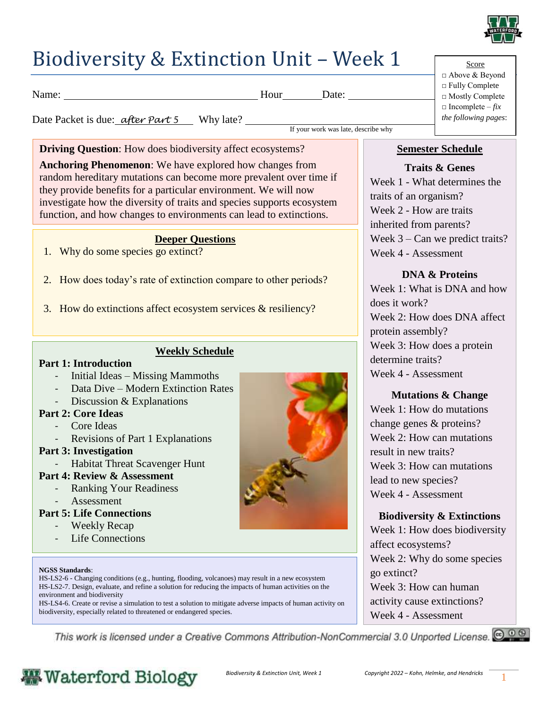

## Biodiversity & Extinction Unit – Week 1

Name: Blow Hour Date:

If your work was late, describe why

Date Packet is due: *<u>after Part 5</u>* Why late?

**Driving Question:** How does biodiversity affect ecosystems?

**Anchoring Phenomenon**: We have explored how changes from random hereditary mutations can become more prevalent over time if they provide benefits for a particular environment. We will now investigate how the diversity of traits and species supports ecosystem function, and how changes to environments can lead to extinctions.

#### **Deeper Questions**

- 1. Why do some species go extinct?
- 2. How does today's rate of extinction compare to other periods?
- 3. How do extinctions affect ecosystem services & resiliency?

#### **Weekly Schedule**

#### **Part 1: Introduction**

- Initial Ideas Missing Mammoths
- Data Dive Modern Extinction Rates
- Discussion  $&$  Explanations

#### **Part 2: Core Ideas**

- Core Ideas
- Revisions of Part 1 Explanations

#### **Part 3: Investigation**

- Habitat Threat Scavenger Hunt
- **Part 4: Review & Assessment**
	- Ranking Your Readiness
	- Assessment

#### **Part 5: Life Connections**

- Weekly Recap
- Life Connections

#### **NGSS Standards**:

HS-LS2-6 - Changing conditions (e.g., hunting, flooding, volcanoes) may result in a new ecosystem HS-LS2-7. Design, evaluate, and refine a solution for reducing the impacts of human activities on the environment and biodiversity

HS-LS4-6. Create or revise a simulation to test a solution to mitigate adverse impacts of human activity on biodiversity, especially related to threatened or endangered species.



#### Score □ Above & Beyond □ Fully Complete □ Mostly Complete  $\Box$  Incomplete – *fix the following pages*:

#### **Semester Schedule**

**Traits & Genes** Week 1 - What determines the traits of an organism? Week 2 - How are traits inherited from parents? Week 3 – Can we predict traits? Week 4 - Assessment

#### **DNA & Proteins**

Week 1: What is DNA and how does it work? Week 2: How does DNA affect protein assembly? Week 3: How does a protein determine traits? Week 4 - Assessment

#### **Mutations & Change**

Week 1: How do mutations change genes & proteins? Week 2: How can mutations result in new traits? Week 3: How can mutations lead to new species? Week 4 - Assessment

#### **Biodiversity & Extinctions**

Week 1: How does biodiversity affect ecosystems? Week 2: Why do some species go extinct? Week 3: How can human activity cause extinctions? Week 4 - Assessment

This work is licensed under a Creative Commons Attribution-NonCommercial 3.0 Unported License. @ 0 8

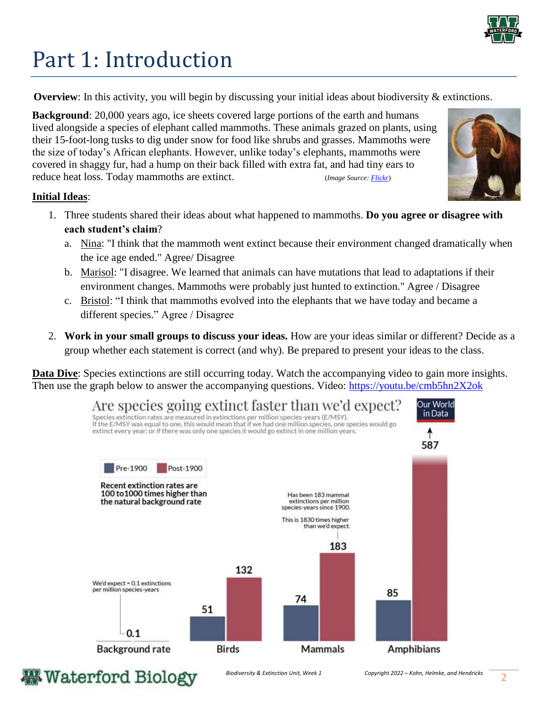

# Part 1: Introduction

**Overview**: In this activity, you will begin by discussing your initial ideas about biodiversity & extinctions.

**Background**: 20,000 years ago, ice sheets covered large portions of the earth and humans lived alongside a species of elephant called mammoths. These animals grazed on plants, using their 15-foot-long tusks to dig under snow for food like shrubs and grasses. Mammoths were the size of today's African elephants. However, unlike today's elephants, mammoths were covered in shaggy fur, had a hump on their back filled with extra fat, and had tiny ears to reduce heat loss. Today mammoths are extinct. (*Image Source[: Flickr](https://www.flickr.com/photos/jurvetson/26636787648?scrlybrkr=89d673a5)*)



#### **Initial Ideas**:

- 1. Three students shared their ideas about what happened to mammoths. **Do you agree or disagree with each student's claim**?
	- a. Nina: "I think that the mammoth went extinct because their environment changed dramatically when the ice age ended." Agree/ Disagree
	- b. Marisol: "I disagree. We learned that animals can have mutations that lead to adaptations if their environment changes. Mammoths were probably just hunted to extinction." Agree / Disagree
	- c. Bristol: "I think that mammoths evolved into the elephants that we have today and became a different species." Agree / Disagree
- 2. **Work in your small groups to discuss your ideas.** How are your ideas similar or different? Decide as a group whether each statement is correct (and why). Be prepared to present your ideas to the class.

**Data Dive**: Species extinctions are still occurring today. Watch the accompanying video to gain more insights. Then use the graph below to answer the accompanying questions. Video:<https://youtu.be/cmb5hn2X2ok>



### **Waterford Biology**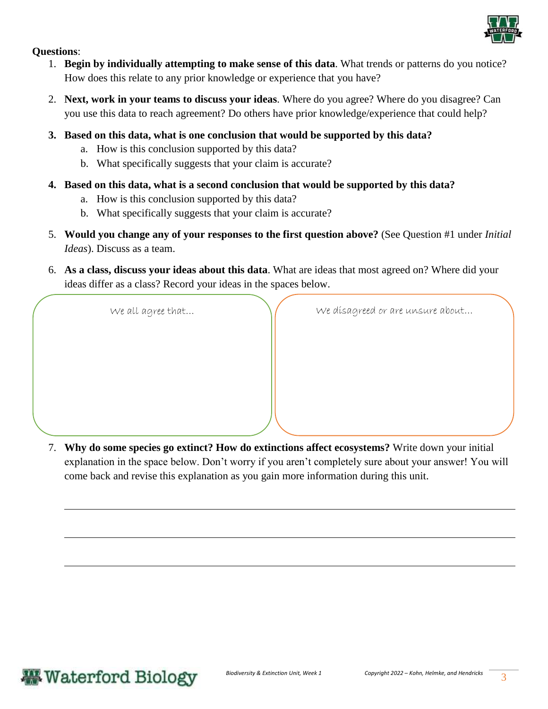

#### **Questions**:

- 1. **Begin by individually attempting to make sense of this data**. What trends or patterns do you notice? How does this relate to any prior knowledge or experience that you have?
- 2. **Next, work in your teams to discuss your ideas**. Where do you agree? Where do you disagree? Can you use this data to reach agreement? Do others have prior knowledge/experience that could help?
- **3. Based on this data, what is one conclusion that would be supported by this data?** 
	- a. How is this conclusion supported by this data?
	- b. What specifically suggests that your claim is accurate?
- **4. Based on this data, what is a second conclusion that would be supported by this data?** 
	- a. How is this conclusion supported by this data?
	- b. What specifically suggests that your claim is accurate?
- 5. **Would you change any of your responses to the first question above?** (See Question #1 under *Initial Ideas*). Discuss as a team.
- 6. **As a class, discuss your ideas about this data**. What are ideas that most agreed on? Where did your ideas differ as a class? Record your ideas in the spaces below.

We all agree that...  $\bigvee$  we disagreed or are unsure about...

7. **Why do some species go extinct? How do extinctions affect ecosystems?** Write down your initial explanation in the space below. Don't worry if you aren't completely sure about your answer! You will come back and revise this explanation as you gain more information during this unit.

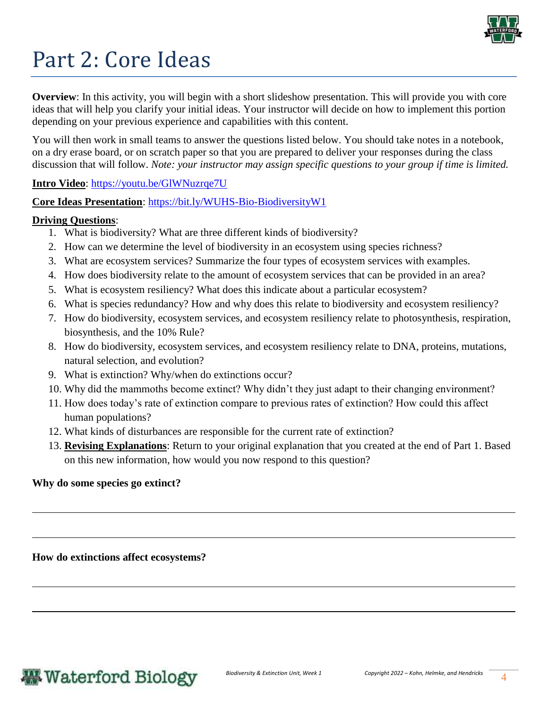

# Part 2: Core Ideas

**Overview**: In this activity, you will begin with a short slideshow presentation. This will provide you with core ideas that will help you clarify your initial ideas. Your instructor will decide on how to implement this portion depending on your previous experience and capabilities with this content.

You will then work in small teams to answer the questions listed below. You should take notes in a notebook, on a dry erase board, or on scratch paper so that you are prepared to deliver your responses during the class discussion that will follow. *Note: your instructor may assign specific questions to your group if time is limited.* 

#### **Intro Video**:<https://youtu.be/GlWNuzrqe7U>

**Core Ideas Presentation**:<https://bit.ly/WUHS-Bio-BiodiversityW1>

#### **Driving Questions**:

- 1. What is biodiversity? What are three different kinds of biodiversity?
- 2. How can we determine the level of biodiversity in an ecosystem using species richness?
- 3. What are ecosystem services? Summarize the four types of ecosystem services with examples.
- 4. How does biodiversity relate to the amount of ecosystem services that can be provided in an area?
- 5. What is ecosystem resiliency? What does this indicate about a particular ecosystem?
- 6. What is species redundancy? How and why does this relate to biodiversity and ecosystem resiliency?
- 7. How do biodiversity, ecosystem services, and ecosystem resiliency relate to photosynthesis, respiration, biosynthesis, and the 10% Rule?
- 8. How do biodiversity, ecosystem services, and ecosystem resiliency relate to DNA, proteins, mutations, natural selection, and evolution?
- 9. What is extinction? Why/when do extinctions occur?
- 10. Why did the mammoths become extinct? Why didn't they just adapt to their changing environment?
- 11. How does today's rate of extinction compare to previous rates of extinction? How could this affect human populations?
- 12. What kinds of disturbances are responsible for the current rate of extinction?
- 13. **Revising Explanations**: Return to your original explanation that you created at the end of Part 1. Based on this new information, how would you now respond to this question?

#### **Why do some species go extinct?**

**How do extinctions affect ecosystems?**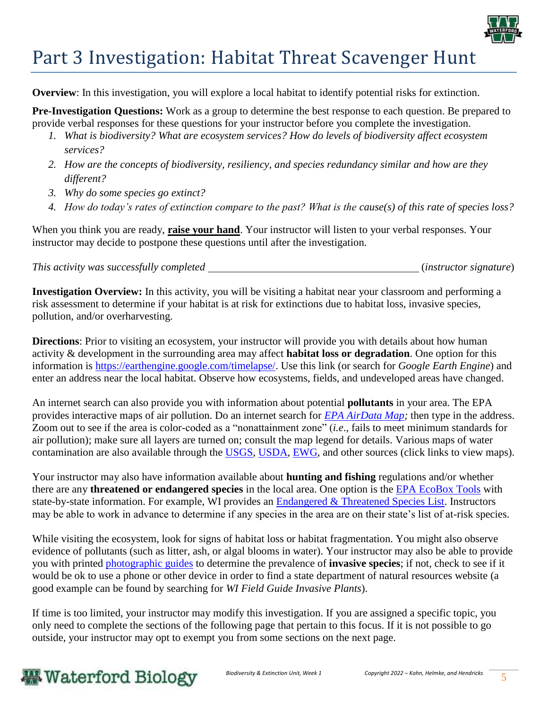

## Part 3 Investigation: Habitat Threat Scavenger Hunt

**Overview**: In this investigation, you will explore a local habitat to identify potential risks for extinction.

**Pre-Investigation Questions:** Work as a group to determine the best response to each question. Be prepared to provide verbal responses for these questions for your instructor before you complete the investigation.

- *1. What is biodiversity? What are ecosystem services? How do levels of biodiversity affect ecosystem services?*
- *2. How are the concepts of biodiversity, resiliency, and species redundancy similar and how are they different?*
- *3. Why do some species go extinct?*
- *4. How do today's rates of extinction compare to the past? What is the cause(s) of this rate of species loss?*

When you think you are ready, **raise your hand**. Your instructor will listen to your verbal responses. Your instructor may decide to postpone these questions until after the investigation.

*This activity was successfully completed* (*instructor signature*)

**Investigation Overview:** In this activity, you will be visiting a habitat near your classroom and performing a risk assessment to determine if your habitat is at risk for extinctions due to habitat loss, invasive species, pollution, and/or overharvesting.

**Directions**: Prior to visiting an ecosystem, your instructor will provide you with details about how human activity & development in the surrounding area may affect **habitat loss or degradation**. One option for this information is [https://earthengine.google.com/timelapse/.](https://earthengine.google.com/timelapse/) Use this link (or search for *Google Earth Engine*) and enter an address near the local habitat. Observe how ecosystems, fields, and undeveloped areas have changed.

An internet search can also provide you with information about potential **pollutants** in your area. The EPA provides interactive maps of air pollution. Do an internet search for *[EPA AirData Map;](https://epa.maps.arcgis.com/apps/webappviewer/index.html?id=5f239fd3e72f424f98ef3d5def547eb5&extent=-146.2334,13.1913,-46.3896,56.5319)* then type in the address. Zoom out to see if the area is color-coded as a "nonattainment zone" (*i.e*., fails to meet minimum standards for air pollution); make sure all layers are turned on; consult the map legend for details. Various maps of water contamination are also available through the [USGS,](https://www.usgs.gov/media/images/areas-high-risk-nitrogen-contamination-groundwater) [USDA,](https://www.nrcs.usda.gov/Internet/FSE_MEDIA/nrcs143_011184.gif) [EWG,](https://www.ewg.org/interactive-maps/pfas_contamination/map/) and other sources (click links to view maps).

Your instructor may also have information available about **hunting and fishing** regulations and/or whether there are any **threatened or endangered species** in the local area. One option is the [EPA EcoBox Tools](https://www.epa.gov/ecobox/epa-ecobox-tools-receptors-endangered-threatened-or-other-species-concern) with state-by-state information. For example, WI provides an **Endangered & Threatened Species List**. Instructors may be able to work in advance to determine if any species in the area are on their state's list of at-risk species.

While visiting the ecosystem, look for signs of habitat loss or habitat fragmentation. You might also observe evidence of pollutants (such as litter, ash, or algal blooms in water). Your instructor may also be able to provide you with printed [photographic guides](https://dnr.wi.gov/topic/invasives/documents/wi%20inv%20plant%20field%20guide%20web%20version.pdf) to determine the prevalence of **invasive species**; if not, check to see if it would be ok to use a phone or other device in order to find a state department of natural resources website (a good example can be found by searching for *WI Field Guide Invasive Plants*).

If time is too limited, your instructor may modify this investigation. If you are assigned a specific topic, you only need to complete the sections of the following page that pertain to this focus. If it is not possible to go outside, your instructor may opt to exempt you from some sections on the next page.

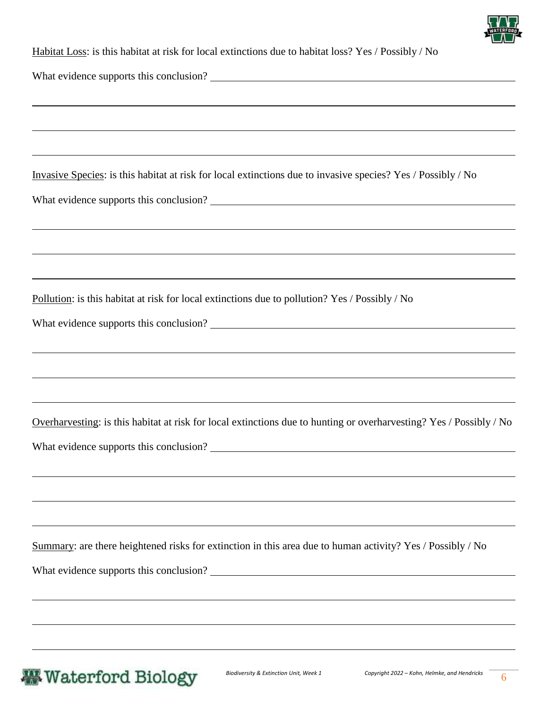

| Habitat Loss: is this habitat at risk for local extinctions due to habitat loss? Yes / Possibly / No |  |
|------------------------------------------------------------------------------------------------------|--|
|------------------------------------------------------------------------------------------------------|--|

What evidence supports this conclusion?

Invasive Species: is this habitat at risk for local extinctions due to invasive species? Yes / Possibly / No

What evidence supports this conclusion?

Pollution: is this habitat at risk for local extinctions due to pollution? Yes / Possibly / No

What evidence supports this conclusion?

Overharvesting: is this habitat at risk for local extinctions due to hunting or overharvesting? Yes / Possibly / No

What evidence supports this conclusion?

Summary: are there heightened risks for extinction in this area due to human activity? Yes / Possibly / No

What evidence supports this conclusion?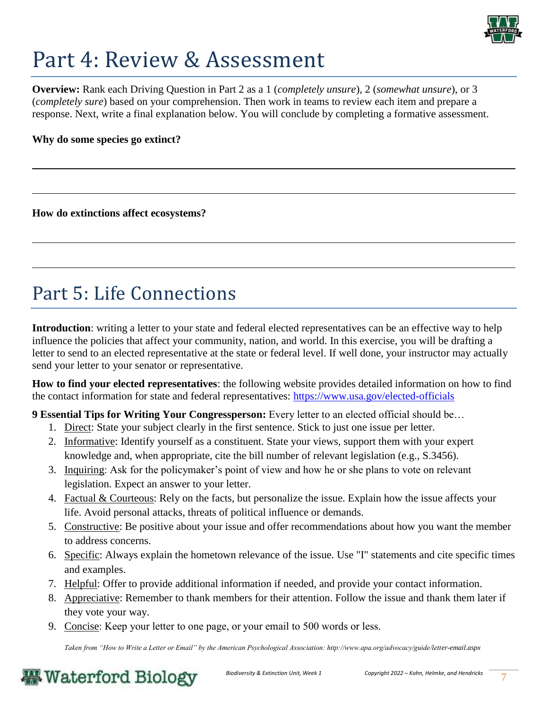

## Part 4: Review & Assessment

**Overview:** Rank each Driving Question in Part 2 as a 1 (*completely unsure*), 2 (*somewhat unsure*), or 3 (*completely sure*) based on your comprehension. Then work in teams to review each item and prepare a response. Next, write a final explanation below. You will conclude by completing a formative assessment.

**Why do some species go extinct?**

**How do extinctions affect ecosystems?**

## Part 5: Life Connections

**Introduction**: writing a letter to your state and federal elected representatives can be an effective way to help influence the policies that affect your community, nation, and world. In this exercise, you will be drafting a letter to send to an elected representative at the state or federal level. If well done, your instructor may actually send your letter to your senator or representative.

**How to find your elected representatives**: the following website provides detailed information on how to find the contact information for state and federal representatives:<https://www.usa.gov/elected-officials>

**9 Essential Tips for Writing Your Congressperson:** Every letter to an elected official should be…

- 1. Direct: State your subject clearly in the first sentence. Stick to just one issue per letter.
- 2. Informative: Identify yourself as a constituent. State your views, support them with your expert knowledge and, when appropriate, cite the bill number of relevant legislation (e.g., S.3456).
- 3. Inquiring: Ask for the policymaker's point of view and how he or she plans to vote on relevant legislation. Expect an answer to your letter.
- 4. Factual & Courteous: Rely on the facts, but personalize the issue. Explain how the issue affects your life. Avoid personal attacks, threats of political influence or demands.
- 5. Constructive: Be positive about your issue and offer recommendations about how you want the member to address concerns.
- 6. Specific: Always explain the hometown relevance of the issue. Use "I" statements and cite specific times and examples.
- 7. Helpful: Offer to provide additional information if needed, and provide your contact information.
- 8. Appreciative: Remember to thank members for their attention. Follow the issue and thank them later if they vote your way.
- 9. Concise: Keep your letter to one page, or your email to 500 words or less.

*Taken from "How to Write a Letter or Email" by the American Psychological Association: http://www.apa.org/advocacy/guide/letter-email.aspx* 

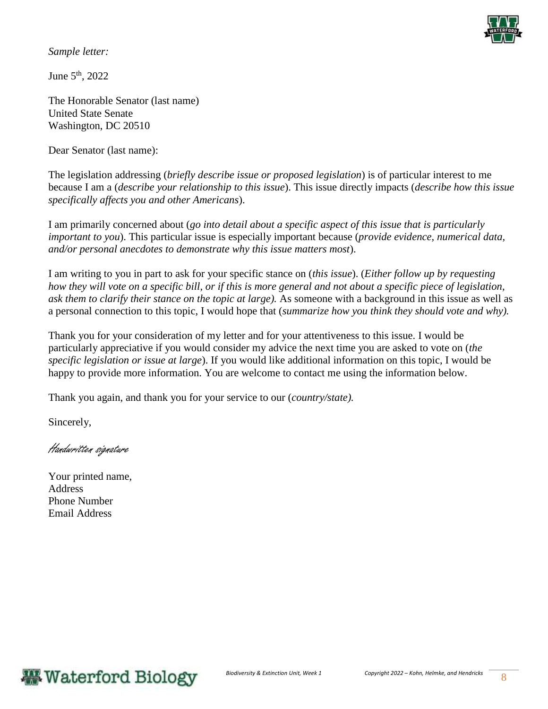

*Sample letter:* 

June 5th, 2022

The Honorable Senator (last name) United State Senate Washington, DC 20510

Dear Senator (last name):

The legislation addressing (*briefly describe issue or proposed legislation*) is of particular interest to me because I am a (*describe your relationship to this issue*). This issue directly impacts (*describe how this issue specifically affects you and other Americans*).

I am primarily concerned about (*go into detail about a specific aspect of this issue that is particularly important to you*). This particular issue is especially important because (*provide evidence, numerical data, and/or personal anecdotes to demonstrate why this issue matters most*).

I am writing to you in part to ask for your specific stance on (*this issue*). (*Either follow up by requesting how they will vote on a specific bill, or if this is more general and not about a specific piece of legislation, ask them to clarify their stance on the topic at large).* As someone with a background in this issue as well as a personal connection to this topic, I would hope that (*summarize how you think they should vote and why).*

Thank you for your consideration of my letter and for your attentiveness to this issue. I would be particularly appreciative if you would consider my advice the next time you are asked to vote on (*the specific legislation or issue at large*). If you would like additional information on this topic, I would be happy to provide more information. You are welcome to contact me using the information below.

Thank you again, and thank you for your service to our (*country/state).*

Sincerely,

Handwritten signature

Your printed name, Address Phone Number Email Address

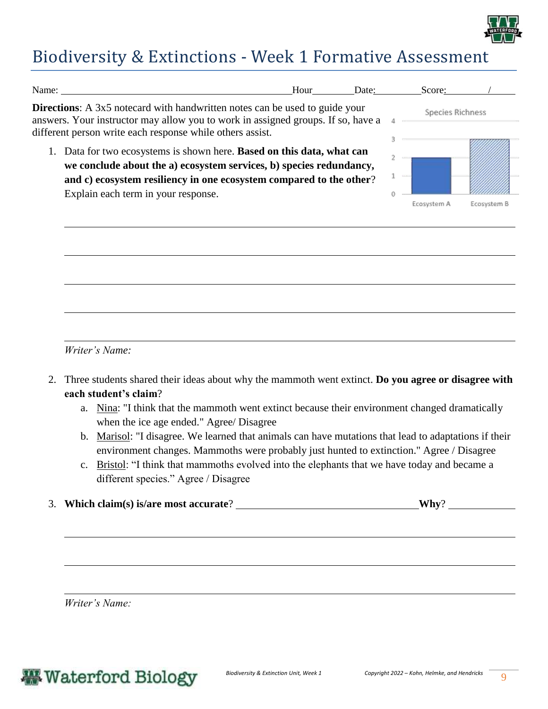

### Biodiversity & Extinctions - Week 1 Formative Assessment

| Name:                                                                                                                                                                                                                                                       | Hour | Date: | Score:           |             |
|-------------------------------------------------------------------------------------------------------------------------------------------------------------------------------------------------------------------------------------------------------------|------|-------|------------------|-------------|
| <b>Directions:</b> A 3x5 notecard with handwritten notes can be used to guide your<br>answers. Your instructor may allow you to work in assigned groups. If so, have a<br>different person write each response while others assist.                         |      |       | Species Richness |             |
| 1. Data for two ecosystems is shown here. Based on this data, what can<br>we conclude about the a) ecosystem services, b) species redundancy,<br>and c) ecosystem resiliency in one ecosystem compared to the other?<br>Explain each term in your response. |      |       | Ecosystem        | Ecosystem B |

*Writer's Name:* 

- 2. Three students shared their ideas about why the mammoth went extinct. **Do you agree or disagree with each student's claim**?
	- a. Nina: "I think that the mammoth went extinct because their environment changed dramatically when the ice age ended." Agree/ Disagree
	- b. Marisol: "I disagree. We learned that animals can have mutations that lead to adaptations if their environment changes. Mammoths were probably just hunted to extinction." Agree / Disagree
	- c. Bristol: "I think that mammoths evolved into the elephants that we have today and became a different species." Agree / Disagree
- 3. **Which claim(s) is/are most accurate**? **Why**?

*Writer's Name:*